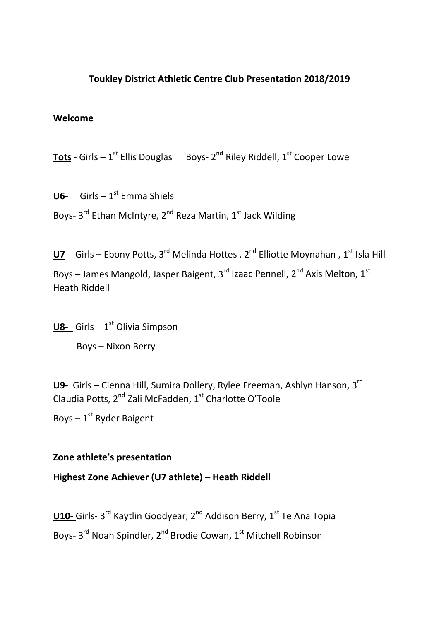## **Toukley District Athletic Centre Club Presentation 2018/2019**

#### **Welcome**

**Tots** - Girls –  $1^{st}$  Ellis Douglas Boys-  $2^{nd}$  Riley Riddell,  $1^{st}$  Cooper Lowe

**U6-** Girls  $-1^{st}$  Emma Shiels Boys- 3<sup>rd</sup> Ethan McIntyre, 2<sup>nd</sup> Reza Martin, 1<sup>st</sup> Jack Wilding

**U7**- Girls – Ebony Potts, 3<sup>rd</sup> Melinda Hottes, 2<sup>nd</sup> Elliotte Moynahan, 1<sup>st</sup> Isla Hill Boys – James Mangold, Jasper Baigent, 3 $^{\text{rd}}$  Izaac Pennell, 2<sup>nd</sup> Axis Melton, 1<sup>st</sup> Heath Riddell

**U8-** Girls  $-1<sup>st</sup>$  Olivia Simpson

Boys – Nixon Berry

**U9-** Girls – Cienna Hill, Sumira Dollery, Rylee Freeman, Ashlyn Hanson, 3rd Claudia Potts, 2<sup>nd</sup> Zali McFadden, 1<sup>st</sup> Charlotte O'Toole

Boys  $-1$ <sup>st</sup> Ryder Baigent

## **Zone athlete's presentation**

## **Highest Zone Achiever (U7 athlete) – Heath Riddell**

**U10-** Girls- 3<sup>rd</sup> Kaytlin Goodyear, 2<sup>nd</sup> Addison Berry, 1<sup>st</sup> Te Ana Topia Boys- 3<sup>rd</sup> Noah Spindler, 2<sup>nd</sup> Brodie Cowan, 1<sup>st</sup> Mitchell Robinson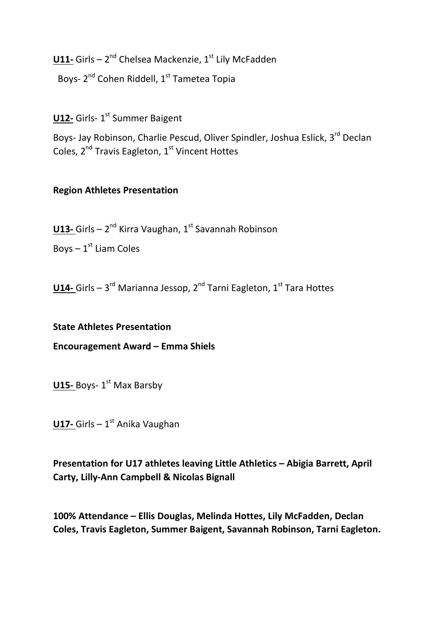U11- Girls - 2<sup>nd</sup> Chelsea Mackenzie, 1<sup>st</sup> Lily McFadden

Boys- 2<sup>nd</sup> Cohen Riddell, 1<sup>st</sup> Tametea Topia

**U12-** Girls- 1<sup>st</sup> Summer Baigent

Boys- Jay Robinson, Charlie Pescud, Oliver Spindler, Joshua Eslick, 3<sup>rd</sup> Declan Coles, 2<sup>nd</sup> Travis Eagleton, 1<sup>st</sup> Vincent Hottes

## **Region Athletes Presentation**

**U13-** Girls – 2<sup>nd</sup> Kirra Vaughan, 1<sup>st</sup> Savannah Robinson

Boys  $-1<sup>st</sup>$  Liam Coles

**U14-** Girls – 3<sup>rd</sup> Marianna Jessop, 2<sup>nd</sup> Tarni Eagleton, 1<sup>st</sup> Tara Hottes

## **State Athletes Presentation**

**Encouragement Award – Emma Shiels**

**U15-** Boys- 1<sup>st</sup> Max Barsby

**U17-** Girls – 1<sup>st</sup> Anika Vaughan

**Presentation for U17 athletes leaving Little Athletics – Abigia Barrett, April Carty, Lilly-Ann Campbell & Nicolas Bignall**

**100% Attendance – Ellis Douglas, Melinda Hottes, Lily McFadden, Declan Coles, Travis Eagleton, Summer Baigent, Savannah Robinson, Tarni Eagleton.**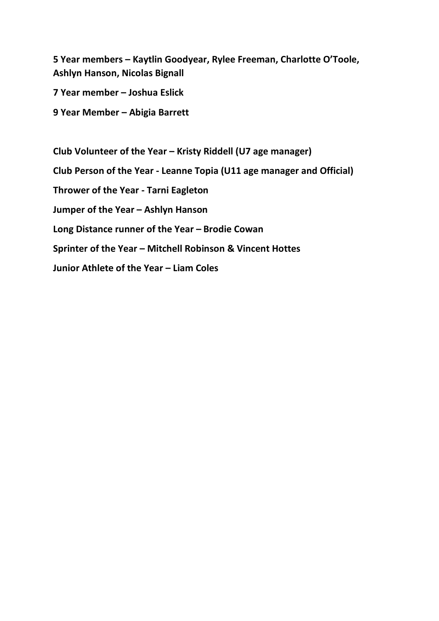**5 Year members – Kaytlin Goodyear, Rylee Freeman, Charlotte O'Toole, Ashlyn Hanson, Nicolas Bignall**

**7 Year member – Joshua Eslick**

**9 Year Member – Abigia Barrett**

**Club Volunteer of the Year – Kristy Riddell (U7 age manager) Club Person of the Year - Leanne Topia (U11 age manager and Official) Thrower of the Year - Tarni Eagleton Jumper of the Year – Ashlyn Hanson Long Distance runner of the Year – Brodie Cowan Sprinter of the Year – Mitchell Robinson & Vincent Hottes Junior Athlete of the Year – Liam Coles**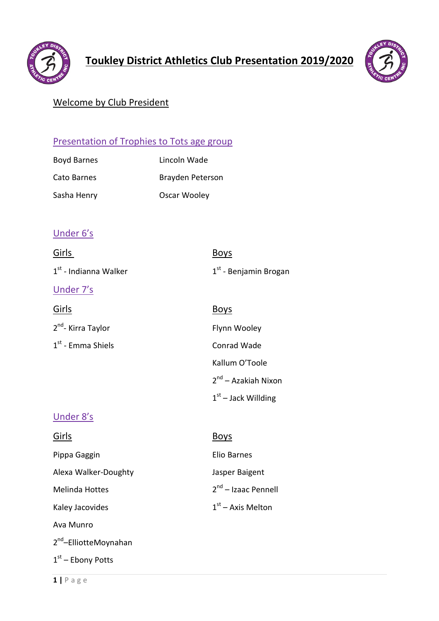



## Welcome by Club President

## Presentation of Trophies to Tots age group

| <b>Boyd Barnes</b> | Lincoln Wade     |
|--------------------|------------------|
| Cato Barnes        | Brayden Peterson |
| Sasha Henry        | Oscar Wooley     |

## Under 6's

| Girls                             | <b>Boys</b>                     |
|-----------------------------------|---------------------------------|
| 1 <sup>st</sup> - Indianna Walker | $1st$ - Benjamin Brogan         |
| Under 7's                         |                                 |
| <u>Girls</u>                      | <b>Boys</b>                     |
| 2 <sup>nd</sup> - Kirra Taylor    | Flynn Wooley                    |
| $1st$ - Emma Shiels               | Conrad Wade                     |
|                                   | Kallum O'Toole                  |
|                                   | 2 <sup>nd</sup> – Azakiah Nixon |
|                                   | $1st$ – Jack Willding           |
| <u>Under 8's</u>                  |                                 |
| Girls                             | <u>Boys</u>                     |
| Pippa Gaggin                      | <b>Elio Barnes</b>              |
| Alexa Walker-Doughty              | Jasper Baigent                  |
| <b>Melinda Hottes</b>             | 2 <sup>nd</sup> - Izaac Pennell |
| Kaley Jacovides                   | $1st$ – Axis Melton             |
| Ava Munro                         |                                 |
|                                   |                                 |

2<sup>nd</sup>–ElliotteMoynahan

 $1<sup>st</sup>$  – Ebony Potts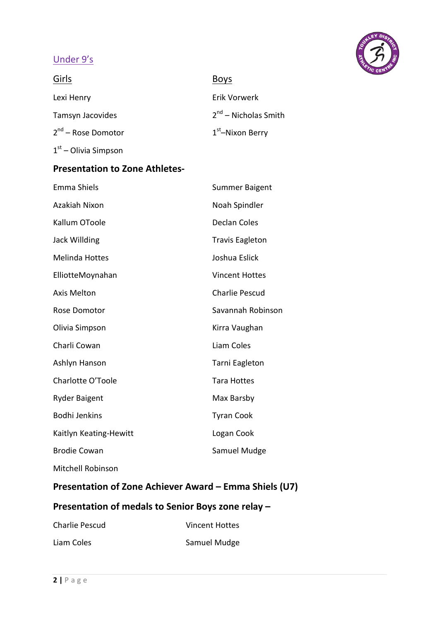## Under 9's



| Girls                   | <b>Boys</b>            |
|-------------------------|------------------------|
| Lexi Henry              | Erik Vorwerk           |
| Tamsyn Jacovides        | $2nd$ – Nicholas Smith |
| $2^{nd}$ – Rose Domotor | $1st$ -Nixon Berry     |
| $1st$ – Olivia Simpson  |                        |

## **Presentation to Zone Athletes-**

| Emma Shiels            | <b>Summer Baigent</b>  |
|------------------------|------------------------|
| Azakiah Nixon          | Noah Spindler          |
| Kallum OToole          | <b>Declan Coles</b>    |
| Jack Willding          | <b>Travis Eagleton</b> |
| <b>Melinda Hottes</b>  | Joshua Eslick          |
| ElliotteMoynahan       | <b>Vincent Hottes</b>  |
| <b>Axis Melton</b>     | <b>Charlie Pescud</b>  |
| Rose Domotor           | Savannah Robinson      |
| Olivia Simpson         | Kirra Vaughan          |
| Charli Cowan           | Liam Coles             |
| Ashlyn Hanson          | Tarni Eagleton         |
| Charlotte O'Toole      | Tara Hottes            |
| <b>Ryder Baigent</b>   | Max Barsby             |
| <b>Bodhi Jenkins</b>   | <b>Tyran Cook</b>      |
| Kaitlyn Keating-Hewitt | Logan Cook             |
| <b>Brodie Cowan</b>    | Samuel Mudge           |
| Mitchell Robinson      |                        |

## **Presentation of Zone Achiever Award – Emma Shiels (U7)**

## **Presentation of medals to Senior Boys zone relay –**

| Charlie Pescud | Vincent Hottes |
|----------------|----------------|
| Liam Coles     | Samuel Mudge   |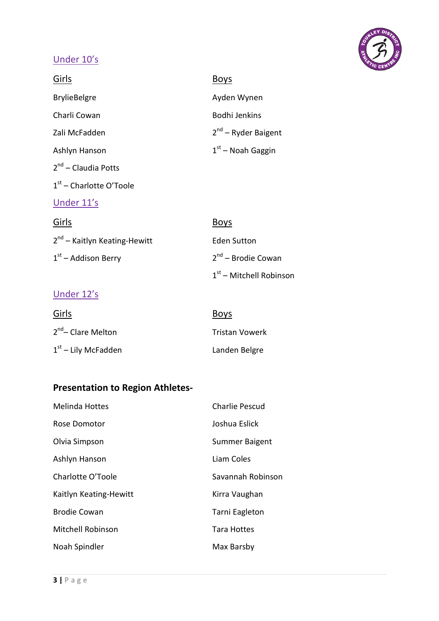## Under 10's

| Girls                                    | <b>Boys</b>                    |
|------------------------------------------|--------------------------------|
| <b>BrylieBelgre</b>                      | Ayden Wynen                    |
| Charli Cowan                             | <b>Bodhi Jenkins</b>           |
| Zali McFadden                            | $2^{nd}$ – Ryder Baigent       |
| Ashlyn Hanson                            | $1st$ – Noah Gaggin            |
| $2nd$ – Claudia Potts                    |                                |
| $1st$ – Charlotte O'Toole                |                                |
| Under 11's                               |                                |
| Girls                                    | <b>Boys</b>                    |
| 2 <sup>nd</sup> - Kaitlyn Keating-Hewitt | <b>Eden Sutton</b>             |
| $1st$ – Addison Berry                    | 2 <sup>nd</sup> – Brodie Cowan |
|                                          | $1st$ – Mitchell Robinson      |

## Under 12's

| Girls                          | <b>Boys</b>           |
|--------------------------------|-----------------------|
| 2 <sup>nd</sup> – Clare Melton | <b>Tristan Vowerk</b> |
| $1st$ – Lily McFadden          | Landen Belgre         |

## **Presentation to Region Athletes-**

| <b>Melinda Hottes</b>    | <b>Charlie Pescud</b> |
|--------------------------|-----------------------|
| Rose Domotor             | Joshua Eslick         |
| Olvia Simpson            | Summer Baigent        |
| Ashlyn Hanson            | Liam Coles            |
| Charlotte O'Toole        | Savannah Robinson     |
| Kaitlyn Keating-Hewitt   | Kirra Vaughan         |
| <b>Brodie Cowan</b>      | Tarni Eagleton        |
| <b>Mitchell Robinson</b> | <b>Tara Hottes</b>    |
| Noah Spindler            | Max Barsby            |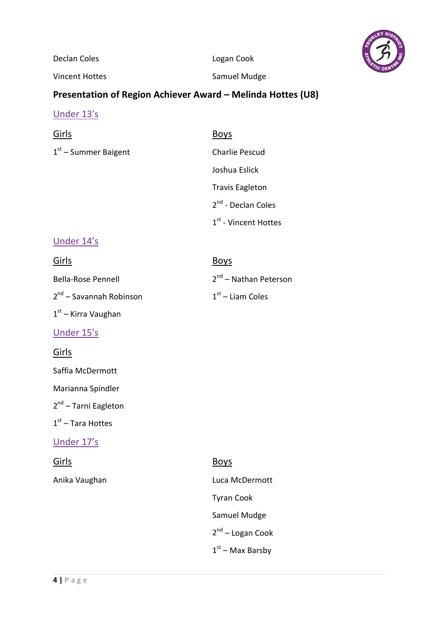

Declan Coles **Logan Cook** 

Vincent Hottes **Samuel Mudge** 

## **Presentation of Region Achiever Award – Melinda Hottes (U8)**

## Under 13's

 $1<sup>st</sup>$  – Summer Baigent

## Girls Boys

| Charlie Pescud                   |
|----------------------------------|
| Joshua Eslick                    |
| <b>Travis Eagleton</b>           |
| 2 <sup>nd</sup> - Declan Coles   |
| $1^{\text{st}}$ - Vincent Hottes |

## Under 14's

| Girls                               | <b>Boys</b>             |
|-------------------------------------|-------------------------|
| <b>Bella-Rose Pennell</b>           | $2nd$ – Nathan Peterson |
| 2 <sup>nd</sup> – Savannah Robinson | $1st$ – Liam Coles      |

## Under 15's

## Girls

Saffia McDermott

 $1<sup>st</sup>$  – Kirra Vaughan

Marianna Spindler

2<sup>nd</sup> – Tarni Eagleton

## $1<sup>st</sup>$  – Tara Hottes

## Under 17's

# Girls Boys

Anika Vaughan **Luca McDermott** Tyran Cook Samuel Mudge 2nd – Logan Cook

 $1<sup>st</sup>$  – Max Barsby